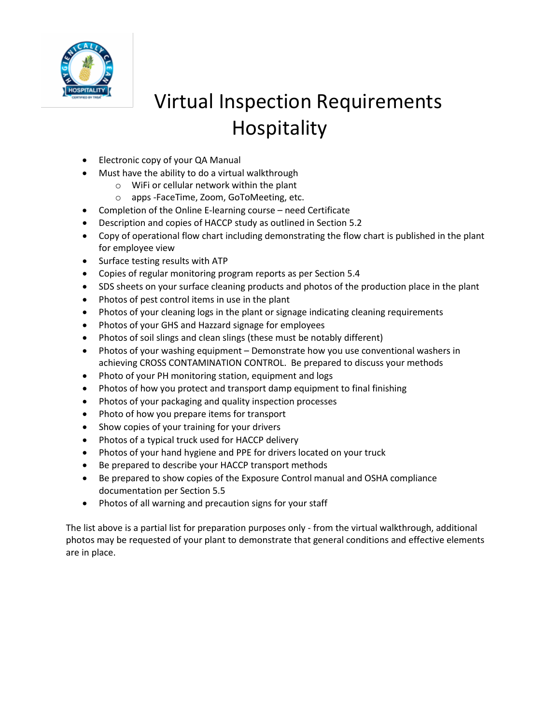

## Virtual Inspection Requirements Hospitality

- Electronic copy of your QA Manual
- Must have the ability to do a virtual walkthrough
	- o WiFi or cellular network within the plant
	- o apps -FaceTime, Zoom, GoToMeeting, etc.
- Completion of the Online E-learning course need Certificate
- Description and copies of HACCP study as outlined in Section 5.2
- Copy of operational flow chart including demonstrating the flow chart is published in the plant for employee view
- Surface testing results with ATP
- Copies of regular monitoring program reports as per Section 5.4
- SDS sheets on your surface cleaning products and photos of the production place in the plant
- Photos of pest control items in use in the plant
- Photos of your cleaning logs in the plant or signage indicating cleaning requirements
- Photos of your GHS and Hazzard signage for employees
- Photos of soil slings and clean slings (these must be notably different)
- Photos of your washing equipment Demonstrate how you use conventional washers in achieving CROSS CONTAMINATION CONTROL. Be prepared to discuss your methods
- Photo of your PH monitoring station, equipment and logs
- Photos of how you protect and transport damp equipment to final finishing
- Photos of your packaging and quality inspection processes
- Photo of how you prepare items for transport
- Show copies of your training for your drivers
- Photos of a typical truck used for HACCP delivery
- Photos of your hand hygiene and PPE for drivers located on your truck
- Be prepared to describe your HACCP transport methods
- Be prepared to show copies of the Exposure Control manual and OSHA compliance documentation per Section 5.5
- Photos of all warning and precaution signs for your staff

The list above is a partial list for preparation purposes only - from the virtual walkthrough, additional photos may be requested of your plant to demonstrate that general conditions and effective elements are in place.